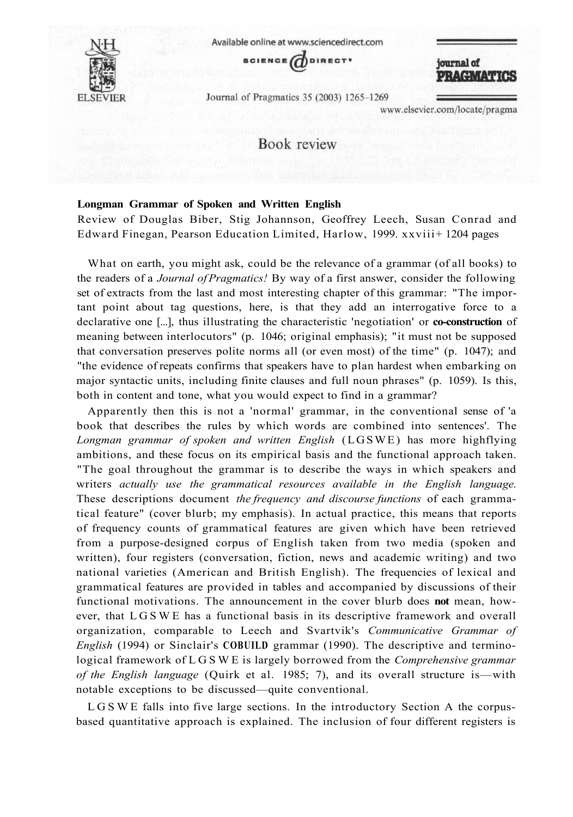

Available online at www.sciencedirect.com

SCIENCE  $\bigcap$ DIRECT<sup>.</sup>

journal of **PRAGMATI** 

Journal of Pragmatics 35 (2003) 1265-1269

www.elsevier.com/locate/pragma

Book review

## **Longman Grammar of Spoken and Written English**

Review of Douglas Biber, Stig Johannson, Geoffrey Leech, Susan Conrad and Edward Finegan, Pearson Education Limited, Harlow, 1999. xxviii+ 1204 pages

What on earth, you might ask, could be the relevance of a grammar (of all books) to the readers of a *Journal of Pragmatics!* By way of a first answer, consider the following set of extracts from the last and most interesting chapter of this grammar: "The important point about tag questions, here, is that they add an interrogative force to a declarative one [...], thus illustrating the characteristic 'negotiation' or **co-construction** of meaning between interlocutors" (p. 1046; original emphasis); "it must not be supposed that conversation preserves polite norms all (or even most) of the time" (p. 1047); and "the evidence of repeats confirms that speakers have to plan hardest when embarking on major syntactic units, including finite clauses and full noun phrases" (p. 1059). Is this, both in content and tone, what you would expect to find in a grammar?

Apparently then this is not a 'normal' grammar, in the conventional sense of 'a book that describes the rules by which words are combined into sentences'. The *Longman grammar of spoken and written English* (LGSWE) has more highflying ambitions, and these focus on its empirical basis and the functional approach taken. "The goal throughout the grammar is to describe the ways in which speakers and writers *actually use the grammatical resources available in the English language.*  These descriptions document *the frequency and discourse functions* of each grammatical feature" (cover blurb; my emphasis). In actual practice, this means that reports of frequency counts of grammatical features are given which have been retrieved from a purpose-designed corpus of English taken from two media (spoken and written), four registers (conversation, fiction, news and academic writing) and two national varieties (American and British English). The frequencies of lexical and grammatical features are provided in tables and accompanied by discussions of their functional motivations. The announcement in the cover blurb does **not** mean, however, that LGSW E has a functional basis in its descriptive framework and overall organization, comparable to Leech and Svartvik's *Communicative Grammar of English* (1994) or Sinclair's **COBUILD** grammar (1990). The descriptive and terminological framework of LGSW E is largely borrowed from the *Comprehensive grammar of the English language* (Quirk et al. 1985; 7), and its overall structure is—with notable exceptions to be discussed—quite conventional.

LGSW E falls into five large sections. In the introductory Section A the corpusbased quantitative approach is explained. The inclusion of four different registers is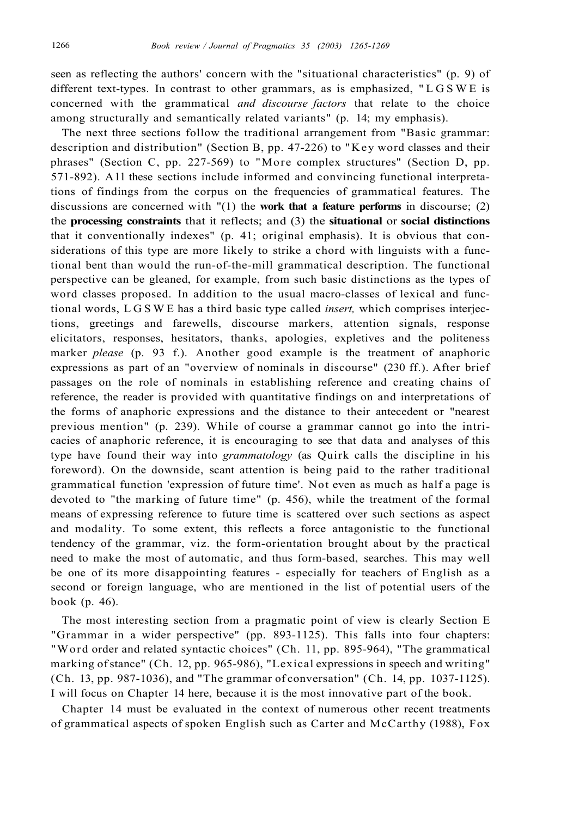seen as reflecting the authors' concern with the "situational characteristics" (p. 9) of different text-types. In contrast to other grammars, as is emphasized, "LGSW E is concerned with the grammatical *and discourse factors* that relate to the choice among structurally and semantically related variants" (p. 14; my emphasis).

The next three sections follow the traditional arrangement from "Basic grammar: description and distribution" (Section B, pp. 47-226) to "Key word classes and their phrases" (Section C, pp. 227-569) to "More complex structures" (Section D, pp. 571-892). Al l these sections include informed and convincing functional interpretations of findings from the corpus on the frequencies of grammatical features. The discussions are concerned with "(1) the **work that a feature performs** in discourse; (2) the **processing constraints** that it reflects; and (3) the **situational** or **social distinctions**  that it conventionally indexes" (p. 41; original emphasis). It is obvious that considerations of this type are more likely to strike a chord with linguists with a functional bent than would the run-of-the-mill grammatical description. The functional perspective can be gleaned, for example, from such basic distinctions as the types of word classes proposed. In addition to the usual macro-classes of lexical and functional words, LGSW E has a third basic type called *insert,* which comprises interjections, greetings and farewells, discourse markers, attention signals, response elicitators, responses, hesitators, thanks, apologies, expletives and the politeness marker *please* (p. 93 f.). Another good example is the treatment of anaphoric expressions as part of an "overview of nominals in discourse" (230 ff.). After brief passages on the role of nominals in establishing reference and creating chains of reference, the reader is provided with quantitative findings on and interpretations of the forms of anaphoric expressions and the distance to their antecedent or "nearest previous mention" (p. 239). While of course a grammar cannot go into the intricacies of anaphoric reference, it is encouraging to see that data and analyses of this type have found their way into *grammatology* (as Quirk calls the discipline in his foreword). On the downside, scant attention is being paid to the rather traditional grammatical function 'expression of future time'. Not even as much as half a page is devoted to "the marking of future time" (p. 456), while the treatment of the formal means of expressing reference to future time is scattered over such sections as aspect and modality. To some extent, this reflects a force antagonistic to the functional tendency of the grammar, viz. the form-orientation brought about by the practical need to make the most of automatic, and thus form-based, searches. This may well be one of its more disappointing features - especially for teachers of English as a second or foreign language, who are mentioned in the list of potential users of the book (p. 46).

The most interesting section from a pragmatic point of view is clearly Section E "Grammar in a wider perspective" (pp. 893-1125). This falls into four chapters: "Word order and related syntactic choices" (Ch. 11, pp. 895-964), "The grammatical marking of stance" (Ch. 12, pp. 965-986), "Lexical expressions in speech and writing" (Ch. 13, pp. 987-1036), and "The grammar of conversation" (Ch. 14, pp. 1037-1125). I will focus on Chapter 14 here, because it is the most innovative part of the book.

Chapter 14 must be evaluated in the context of numerous other recent treatments of grammatical aspects of spoken English such as Carter and McCarthy (1988), Fox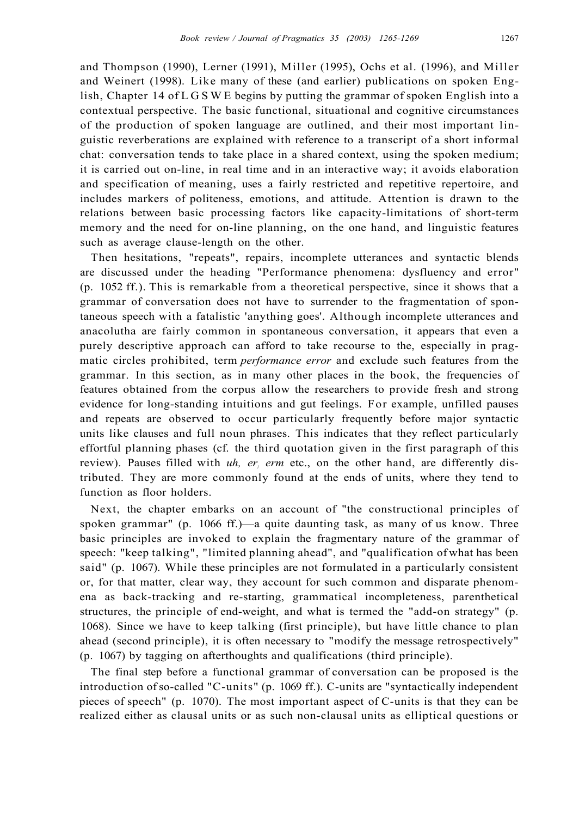and Thompson (1990), Lerner (1991), Miller (1995), Ochs et al. (1996), and Miller and Weinert (1998). Like many of these (and earlier) publications on spoken English, Chapter 14 of LGSW E begins by putting the grammar of spoken English into a contextual perspective. The basic functional, situational and cognitive circumstances of the production of spoken language are outlined, and their most important linguistic reverberations are explained with reference to a transcript of a short informal chat: conversation tends to take place in a shared context, using the spoken medium; it is carried out on-line, in real time and in an interactive way; it avoids elaboration and specification of meaning, uses a fairly restricted and repetitive repertoire, and includes markers of politeness, emotions, and attitude. Attention is drawn to the relations between basic processing factors like capacity-limitations of short-term memory and the need for on-line planning, on the one hand, and linguistic features such as average clause-length on the other.

Then hesitations, "repeats", repairs, incomplete utterances and syntactic blends are discussed under the heading "Performance phenomena: dysfluency and error" (p. 1052 ff.). This is remarkable from a theoretical perspective, since it shows that a grammar of conversation does not have to surrender to the fragmentation of spontaneous speech with a fatalistic 'anything goes'. Although incomplete utterances and anacolutha are fairly common in spontaneous conversation, it appears that even a purely descriptive approach can afford to take recourse to the, especially in pragmatic circles prohibited, term *performance error* and exclude such features from the grammar. In this section, as in many other places in the book, the frequencies of features obtained from the corpus allow the researchers to provide fresh and strong evidence for long-standing intuitions and gut feelings. For example, unfilled pauses and repeats are observed to occur particularly frequently before major syntactic units like clauses and full noun phrases. This indicates that they reflect particularly effortful planning phases (cf. the third quotation given in the first paragraph of this review). Pauses filled with *uh, er<sub>i</sub>* erm etc., on the other hand, are differently distributed. They are more commonly found at the ends of units, where they tend to function as floor holders.

Next, the chapter embarks on an account of "the constructional principles of spoken grammar" (p. 1066 ff.)—a quite daunting task, as many of us know. Three basic principles are invoked to explain the fragmentary nature of the grammar of speech: "keep talking", "limited planning ahead", and "qualification of what has been said" (p. 1067). While these principles are not formulated in a particularly consistent or, for that matter, clear way, they account for such common and disparate phenomena as back-tracking and re-starting, grammatical incompleteness, parenthetical structures, the principle of end-weight, and what is termed the "add-on strategy" (p. 1068). Since we have to keep talking (first principle), but have little chance to plan ahead (second principle), it is often necessary to "modify the message retrospectively" (p. 1067) by tagging on afterthoughts and qualifications (third principle).

The final step before a functional grammar of conversation can be proposed is the introduction of so-called "C-units" (p. 1069 ff.). C-units are "syntactically independent pieces of speech" (p. 1070). The most important aspect of C-units is that they can be realized either as clausal units or as such non-clausal units as elliptical questions or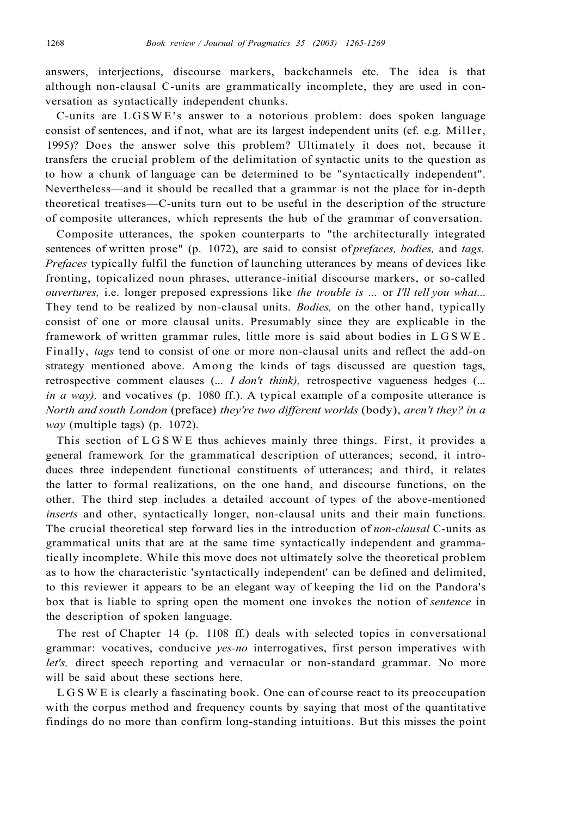answers, interjections, discourse markers, backchannels etc. The idea is that although non-clausal C-units are grammatically incomplete, they are used in conversation as syntactically independent chunks.

C-units are LGSWE's answer to a notorious problem: does spoken language consist of sentences, and if not, what are its largest independent units (cf. e.g. Miller, 1995)? Does the answer solve this problem? Ultimately it does not, because it transfers the crucial problem of the delimitation of syntactic units to the question as to how a chunk of language can be determined to be "syntactically independent". Nevertheless—and it should be recalled that a grammar is not the place for in-depth theoretical treatises—C-units turn out to be useful in the description of the structure of composite utterances, which represents the hub of the grammar of conversation.

Composite utterances, the spoken counterparts to "the architecturally integrated sentences of written prose" (p. 1072), are said to consist of *prefaces, bodies,* and *tags. Prefaces* typically fulfil the function of launching utterances by means of devices like fronting, topicalized noun phrases, utterance-initial discourse markers, or so-called *ouvertures,* i.e. longer preposed expressions like *the trouble is ...* or *I'll tell you what...*  They tend to be realized by non-clausal units. *Bodies,* on the other hand, typically consist of one or more clausal units. Presumably since they are explicable in the framework of written grammar rules, little more is said about bodies in LGSWE . Finally, *tags* tend to consist of one or more non-clausal units and reflect the add-on strategy mentioned above. Among the kinds of tags discussed are question tags, retrospective comment clauses (... *I don't think),* retrospective vagueness hedges (... *in a way),* and vocatives (p. 1080 ff.). A typical example of a composite utterance is *North and south London* (preface) *they're two different worlds* (body), *aren't they? in a way* (multiple tags) (p. 1072).

This section of LGSW E thus achieves mainly three things. First, it provides a general framework for the grammatical description of utterances; second, it introduces three independent functional constituents of utterances; and third, it relates the latter to formal realizations, on the one hand, and discourse functions, on the other. The third step includes a detailed account of types of the above-mentioned *inserts* and other, syntactically longer, non-clausal units and their main functions. The crucial theoretical step forward lies in the introduction of *non-clausal* C-units as grammatical units that are at the same time syntactically independent and grammatically incomplete. While this move does not ultimately solve the theoretical problem as to how the characteristic 'syntactically independent' can be defined and delimited, to this reviewer it appears to be an elegant way of keeping the lid on the Pandora's box that is liable to spring open the moment one invokes the notion of *sentence* in the description of spoken language.

The rest of Chapter 14 (p. 1108 ff.) deals with selected topics in conversational grammar: vocatives, conducive *yes-no* interrogatives, first person imperatives with *let's,* direct speech reporting and vernacular or non-standard grammar. No more will be said about these sections here.

LGSW E is clearly a fascinating book. One can of course react to its preoccupation with the corpus method and frequency counts by saying that most of the quantitative findings do no more than confirm long-standing intuitions. But this misses the point